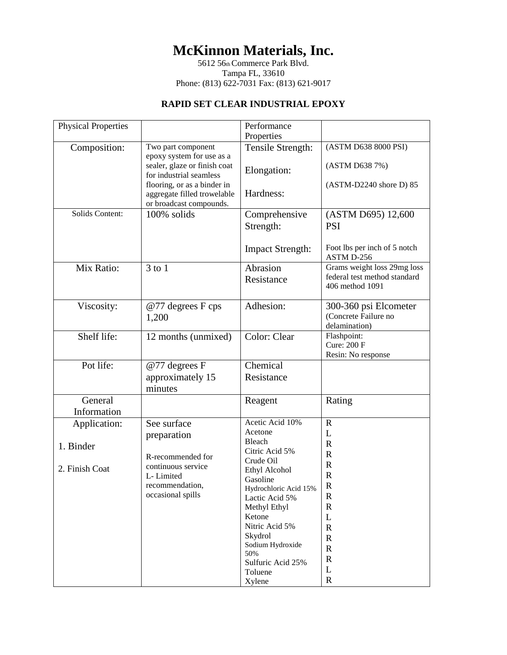## **McKinnon Materials, Inc.**

5612 56th Commerce Park Blvd. Tampa FL, 33610 Phone: (813) 622-7031 Fax: (813) 621-9017

## **RAPID SET CLEAR INDUSTRIAL EPOXY**

| (ASTM D638 8000 PSI)<br>Tensile Strength:<br>Composition:<br>Two part component<br>epoxy system for use as a<br>sealer, glaze or finish coat<br>(ASTM D638 7%)<br>Elongation:<br>for industrial seamless<br>flooring, or as a binder in<br>(ASTM-D2240 shore D) 85<br>Hardness:<br>aggregate filled trowelable<br>or broadcast compounds.<br>Solids Content:<br>100% solids<br>(ASTM D695) 12,600<br>Comprehensive<br>Strength:<br><b>PSI</b><br>Foot lbs per inch of 5 notch<br><b>Impact Strength:</b><br>ASTM D-256<br>Abrasion<br>Grams weight loss 29mg loss<br>Mix Ratio:<br>$3$ to $1$<br>federal test method standard<br>Resistance<br>406 method 1091<br>Adhesion:<br>Viscosity:<br>@77 degrees F cps<br>300-360 psi Elcometer<br>(Concrete Failure no<br>1,200<br>delamination)<br>Shelf life:<br>Color: Clear<br>Flashpoint:<br>12 months (unmixed)<br><b>Cure: 200 F</b><br>Resin: No response<br>Pot life:<br>Chemical<br>@77 degrees F<br>approximately 15<br>Resistance<br>minutes<br>General<br>Rating<br>Reagent<br>Information<br>Acetic Acid 10%<br>See surface<br>$\mathbf R$<br>Application:<br>Acetone<br>L<br>preparation<br>Bleach<br>$\mathbf R$<br>1. Binder<br>Citric Acid 5%<br>$\mathbb{R}$<br>R-recommended for<br>Crude Oil<br>$\mathbf R$<br>continuous service<br>2. Finish Coat<br>Ethyl Alcohol<br>$\mathbb{R}$<br>L-Limited<br>Gasoline<br>recommendation,<br>$\mathbf R$<br>Hydrochloric Acid 15%<br>occasional spills<br>$\mathbf R$<br>Lactic Acid 5%<br>$\mathbb{R}$<br>Methyl Ethyl<br>Ketone<br>L<br>Nitric Acid 5%<br>$\mathbf R$<br>Skydrol<br>${\bf R}$ | <b>Physical Properties</b> | Performance      |  |
|------------------------------------------------------------------------------------------------------------------------------------------------------------------------------------------------------------------------------------------------------------------------------------------------------------------------------------------------------------------------------------------------------------------------------------------------------------------------------------------------------------------------------------------------------------------------------------------------------------------------------------------------------------------------------------------------------------------------------------------------------------------------------------------------------------------------------------------------------------------------------------------------------------------------------------------------------------------------------------------------------------------------------------------------------------------------------------------------------------------------------------------------------------------------------------------------------------------------------------------------------------------------------------------------------------------------------------------------------------------------------------------------------------------------------------------------------------------------------------------------------------------------------------------------------------------------------------------------------|----------------------------|------------------|--|
|                                                                                                                                                                                                                                                                                                                                                                                                                                                                                                                                                                                                                                                                                                                                                                                                                                                                                                                                                                                                                                                                                                                                                                                                                                                                                                                                                                                                                                                                                                                                                                                                      |                            | Properties       |  |
|                                                                                                                                                                                                                                                                                                                                                                                                                                                                                                                                                                                                                                                                                                                                                                                                                                                                                                                                                                                                                                                                                                                                                                                                                                                                                                                                                                                                                                                                                                                                                                                                      |                            |                  |  |
|                                                                                                                                                                                                                                                                                                                                                                                                                                                                                                                                                                                                                                                                                                                                                                                                                                                                                                                                                                                                                                                                                                                                                                                                                                                                                                                                                                                                                                                                                                                                                                                                      |                            |                  |  |
|                                                                                                                                                                                                                                                                                                                                                                                                                                                                                                                                                                                                                                                                                                                                                                                                                                                                                                                                                                                                                                                                                                                                                                                                                                                                                                                                                                                                                                                                                                                                                                                                      |                            |                  |  |
|                                                                                                                                                                                                                                                                                                                                                                                                                                                                                                                                                                                                                                                                                                                                                                                                                                                                                                                                                                                                                                                                                                                                                                                                                                                                                                                                                                                                                                                                                                                                                                                                      |                            |                  |  |
|                                                                                                                                                                                                                                                                                                                                                                                                                                                                                                                                                                                                                                                                                                                                                                                                                                                                                                                                                                                                                                                                                                                                                                                                                                                                                                                                                                                                                                                                                                                                                                                                      |                            |                  |  |
|                                                                                                                                                                                                                                                                                                                                                                                                                                                                                                                                                                                                                                                                                                                                                                                                                                                                                                                                                                                                                                                                                                                                                                                                                                                                                                                                                                                                                                                                                                                                                                                                      |                            |                  |  |
|                                                                                                                                                                                                                                                                                                                                                                                                                                                                                                                                                                                                                                                                                                                                                                                                                                                                                                                                                                                                                                                                                                                                                                                                                                                                                                                                                                                                                                                                                                                                                                                                      |                            |                  |  |
|                                                                                                                                                                                                                                                                                                                                                                                                                                                                                                                                                                                                                                                                                                                                                                                                                                                                                                                                                                                                                                                                                                                                                                                                                                                                                                                                                                                                                                                                                                                                                                                                      |                            |                  |  |
|                                                                                                                                                                                                                                                                                                                                                                                                                                                                                                                                                                                                                                                                                                                                                                                                                                                                                                                                                                                                                                                                                                                                                                                                                                                                                                                                                                                                                                                                                                                                                                                                      |                            |                  |  |
|                                                                                                                                                                                                                                                                                                                                                                                                                                                                                                                                                                                                                                                                                                                                                                                                                                                                                                                                                                                                                                                                                                                                                                                                                                                                                                                                                                                                                                                                                                                                                                                                      |                            |                  |  |
|                                                                                                                                                                                                                                                                                                                                                                                                                                                                                                                                                                                                                                                                                                                                                                                                                                                                                                                                                                                                                                                                                                                                                                                                                                                                                                                                                                                                                                                                                                                                                                                                      |                            |                  |  |
|                                                                                                                                                                                                                                                                                                                                                                                                                                                                                                                                                                                                                                                                                                                                                                                                                                                                                                                                                                                                                                                                                                                                                                                                                                                                                                                                                                                                                                                                                                                                                                                                      |                            |                  |  |
|                                                                                                                                                                                                                                                                                                                                                                                                                                                                                                                                                                                                                                                                                                                                                                                                                                                                                                                                                                                                                                                                                                                                                                                                                                                                                                                                                                                                                                                                                                                                                                                                      |                            |                  |  |
|                                                                                                                                                                                                                                                                                                                                                                                                                                                                                                                                                                                                                                                                                                                                                                                                                                                                                                                                                                                                                                                                                                                                                                                                                                                                                                                                                                                                                                                                                                                                                                                                      |                            |                  |  |
|                                                                                                                                                                                                                                                                                                                                                                                                                                                                                                                                                                                                                                                                                                                                                                                                                                                                                                                                                                                                                                                                                                                                                                                                                                                                                                                                                                                                                                                                                                                                                                                                      |                            |                  |  |
|                                                                                                                                                                                                                                                                                                                                                                                                                                                                                                                                                                                                                                                                                                                                                                                                                                                                                                                                                                                                                                                                                                                                                                                                                                                                                                                                                                                                                                                                                                                                                                                                      |                            |                  |  |
|                                                                                                                                                                                                                                                                                                                                                                                                                                                                                                                                                                                                                                                                                                                                                                                                                                                                                                                                                                                                                                                                                                                                                                                                                                                                                                                                                                                                                                                                                                                                                                                                      |                            |                  |  |
|                                                                                                                                                                                                                                                                                                                                                                                                                                                                                                                                                                                                                                                                                                                                                                                                                                                                                                                                                                                                                                                                                                                                                                                                                                                                                                                                                                                                                                                                                                                                                                                                      |                            |                  |  |
|                                                                                                                                                                                                                                                                                                                                                                                                                                                                                                                                                                                                                                                                                                                                                                                                                                                                                                                                                                                                                                                                                                                                                                                                                                                                                                                                                                                                                                                                                                                                                                                                      |                            |                  |  |
|                                                                                                                                                                                                                                                                                                                                                                                                                                                                                                                                                                                                                                                                                                                                                                                                                                                                                                                                                                                                                                                                                                                                                                                                                                                                                                                                                                                                                                                                                                                                                                                                      |                            |                  |  |
|                                                                                                                                                                                                                                                                                                                                                                                                                                                                                                                                                                                                                                                                                                                                                                                                                                                                                                                                                                                                                                                                                                                                                                                                                                                                                                                                                                                                                                                                                                                                                                                                      |                            |                  |  |
|                                                                                                                                                                                                                                                                                                                                                                                                                                                                                                                                                                                                                                                                                                                                                                                                                                                                                                                                                                                                                                                                                                                                                                                                                                                                                                                                                                                                                                                                                                                                                                                                      |                            |                  |  |
|                                                                                                                                                                                                                                                                                                                                                                                                                                                                                                                                                                                                                                                                                                                                                                                                                                                                                                                                                                                                                                                                                                                                                                                                                                                                                                                                                                                                                                                                                                                                                                                                      |                            |                  |  |
|                                                                                                                                                                                                                                                                                                                                                                                                                                                                                                                                                                                                                                                                                                                                                                                                                                                                                                                                                                                                                                                                                                                                                                                                                                                                                                                                                                                                                                                                                                                                                                                                      |                            |                  |  |
|                                                                                                                                                                                                                                                                                                                                                                                                                                                                                                                                                                                                                                                                                                                                                                                                                                                                                                                                                                                                                                                                                                                                                                                                                                                                                                                                                                                                                                                                                                                                                                                                      |                            |                  |  |
|                                                                                                                                                                                                                                                                                                                                                                                                                                                                                                                                                                                                                                                                                                                                                                                                                                                                                                                                                                                                                                                                                                                                                                                                                                                                                                                                                                                                                                                                                                                                                                                                      |                            |                  |  |
|                                                                                                                                                                                                                                                                                                                                                                                                                                                                                                                                                                                                                                                                                                                                                                                                                                                                                                                                                                                                                                                                                                                                                                                                                                                                                                                                                                                                                                                                                                                                                                                                      |                            | Sodium Hydroxide |  |
| ${\bf R}$<br>50%                                                                                                                                                                                                                                                                                                                                                                                                                                                                                                                                                                                                                                                                                                                                                                                                                                                                                                                                                                                                                                                                                                                                                                                                                                                                                                                                                                                                                                                                                                                                                                                     |                            |                  |  |
| ${\bf R}$<br>Sulfuric Acid 25%<br>L                                                                                                                                                                                                                                                                                                                                                                                                                                                                                                                                                                                                                                                                                                                                                                                                                                                                                                                                                                                                                                                                                                                                                                                                                                                                                                                                                                                                                                                                                                                                                                  |                            |                  |  |
| Toluene<br>$\mathbf R$<br>Xylene                                                                                                                                                                                                                                                                                                                                                                                                                                                                                                                                                                                                                                                                                                                                                                                                                                                                                                                                                                                                                                                                                                                                                                                                                                                                                                                                                                                                                                                                                                                                                                     |                            |                  |  |